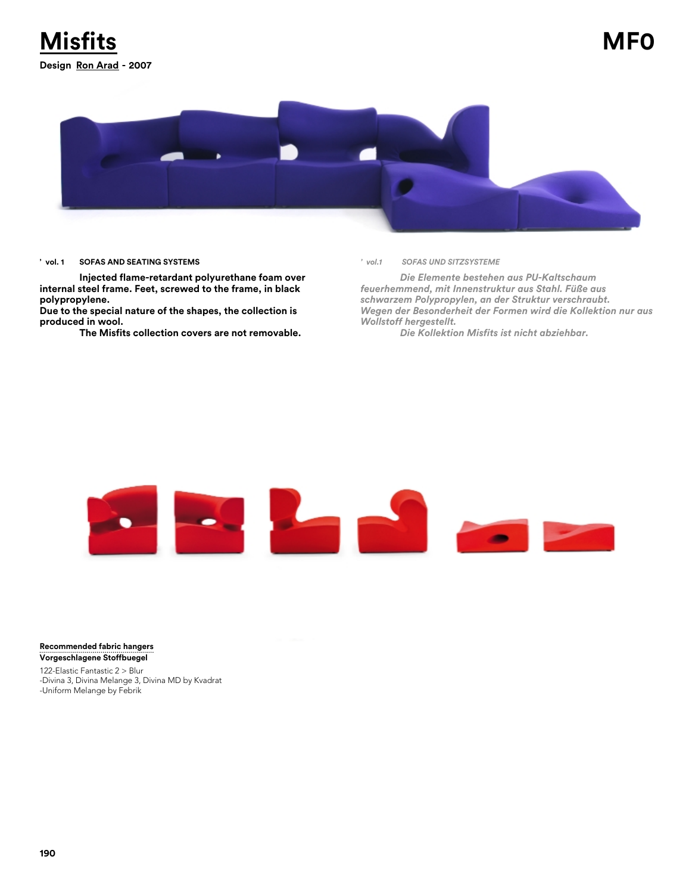

## **' vol. 1 SOFAS AND SEATING SYSTEMS**

**Injected flame-retardant polyurethane foam over internal steel frame. Feet, screwed to the frame, in black polypropylene.**

**Due to the special nature of the shapes, the collection is produced in wool.**

**The Misfits collection covers are not removable.**

*' vol.1 SOFAS UND SITZSYSTEME*

*Die Elemente bestehen aus PU-Kaltschaum feuerhemmend, mit Innenstruktur aus Stahl. Füße aus schwarzem Polypropylen, an der Struktur verschraubt. Wegen der Besonderheit der Formen wird die Kollektion nur aus Wollstoff hergestellt.*

*Die Kollektion Misfits ist nicht abziehbar.*



**Recommended fabric hangers Vorgeschlagene Stoffbuegel**

122-Elastic Fantastic 2 > Blur -Divina 3, Divina Melange 3, Divina MD by Kvadrat -Uniform Melange by Febrik